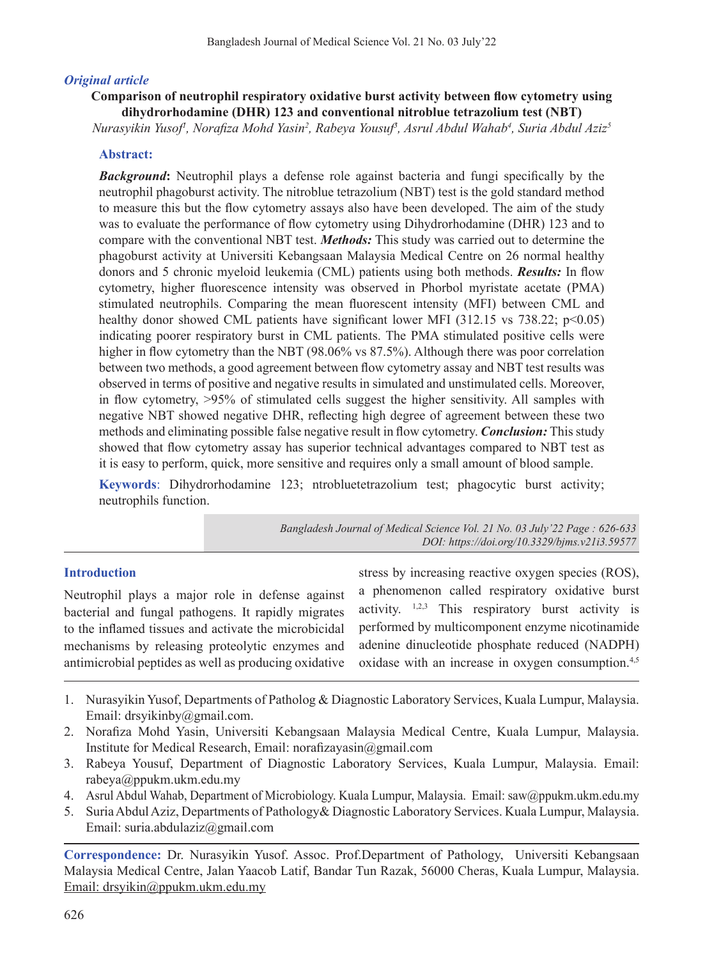## *Original article*

**Comparison of neutrophil respiratory oxidative burst activity between flow cytometry using dihydrorhodamine (DHR) 123 and conventional nitroblue tetrazolium test (NBT)** 

*Nurasyikin Yusof1 , Norafiza Mohd Yasin<sup>2</sup> , Rabeya Yousuf3 , Asrul Abdul Wahab4 , Suria Abdul Aziz5*

## **Abstract:**

**Background:** Neutrophil plays a defense role against bacteria and fungi specifically by the neutrophil phagoburst activity. The nitroblue tetrazolium (NBT) test is the gold standard method to measure this but the flow cytometry assays also have been developed. The aim of the study was to evaluate the performance of flow cytometry using Dihydrorhodamine (DHR) 123 and to compare with the conventional NBT test. *Methods:* This study was carried out to determine the phagoburst activity at Universiti Kebangsaan Malaysia Medical Centre on 26 normal healthy donors and 5 chronic myeloid leukemia (CML) patients using both methods. *Results:* In flow cytometry, higher fluorescence intensity was observed in Phorbol myristate acetate (PMA) stimulated neutrophils. Comparing the mean fluorescent intensity (MFI) between CML and healthy donor showed CML patients have significant lower MFI (312.15 vs 738.22; p<0.05) indicating poorer respiratory burst in CML patients. The PMA stimulated positive cells were higher in flow cytometry than the NBT (98.06% vs 87.5%). Although there was poor correlation between two methods, a good agreement between flow cytometry assay and NBT test results was observed in terms of positive and negative results in simulated and unstimulated cells. Moreover, in flow cytometry, >95% of stimulated cells suggest the higher sensitivity. All samples with negative NBT showed negative DHR, reflecting high degree of agreement between these two methods and eliminating possible false negative result in flow cytometry. *Conclusion:* This study showed that flow cytometry assay has superior technical advantages compared to NBT test as it is easy to perform, quick, more sensitive and requires only a small amount of blood sample.

**Keywords**: Dihydrorhodamine 123; ntrobluetetrazolium test; phagocytic burst activity; neutrophils function.

> *Bangladesh Journal of Medical Science Vol. 21 No. 03 July'22 Page : 626-633 DOI: https://doi.org/10.3329/bjms.v21i3.59577*

### **Introduction**

Neutrophil plays a major role in defense against bacterial and fungal pathogens. It rapidly migrates to the inflamed tissues and activate the microbicidal mechanisms by releasing proteolytic enzymes and antimicrobial peptides as well as producing oxidative stress by increasing reactive oxygen species (ROS), a phenomenon called respiratory oxidative burst activity.  $1,2,3$  This respiratory burst activity is performed by multicomponent enzyme nicotinamide adenine dinucleotide phosphate reduced (NADPH) oxidase with an increase in oxygen consumption.<sup>4,5</sup>

- 1. Nurasyikin Yusof, Departments of Patholog & Diagnostic Laboratory Services, Kuala Lumpur, Malaysia. Email: drsyikinby@gmail.com.
- 2. Norafiza Mohd Yasin, Universiti Kebangsaan Malaysia Medical Centre, Kuala Lumpur, Malaysia. Institute for Medical Research, Email: norafizayasin@gmail.com
- 3. Rabeya Yousuf, Department of Diagnostic Laboratory Services, Kuala Lumpur, Malaysia. Email: rabeya@ppukm.ukm.edu.my
- 4. Asrul Abdul Wahab, Department of Microbiology. Kuala Lumpur, Malaysia. Email: saw@ppukm.ukm.edu.my
- 5. Suria Abdul Aziz, Departments of Pathology& Diagnostic Laboratory Services. Kuala Lumpur, Malaysia. Email: suria.abdulaziz@gmail.com

**Correspondence:** Dr. Nurasyikin Yusof. Assoc. Prof.Department of Pathology, Universiti Kebangsaan Malaysia Medical Centre, Jalan Yaacob Latif, Bandar Tun Razak, 56000 Cheras, Kuala Lumpur, Malaysia. Email: drsyikin@ppukm.ukm.edu.my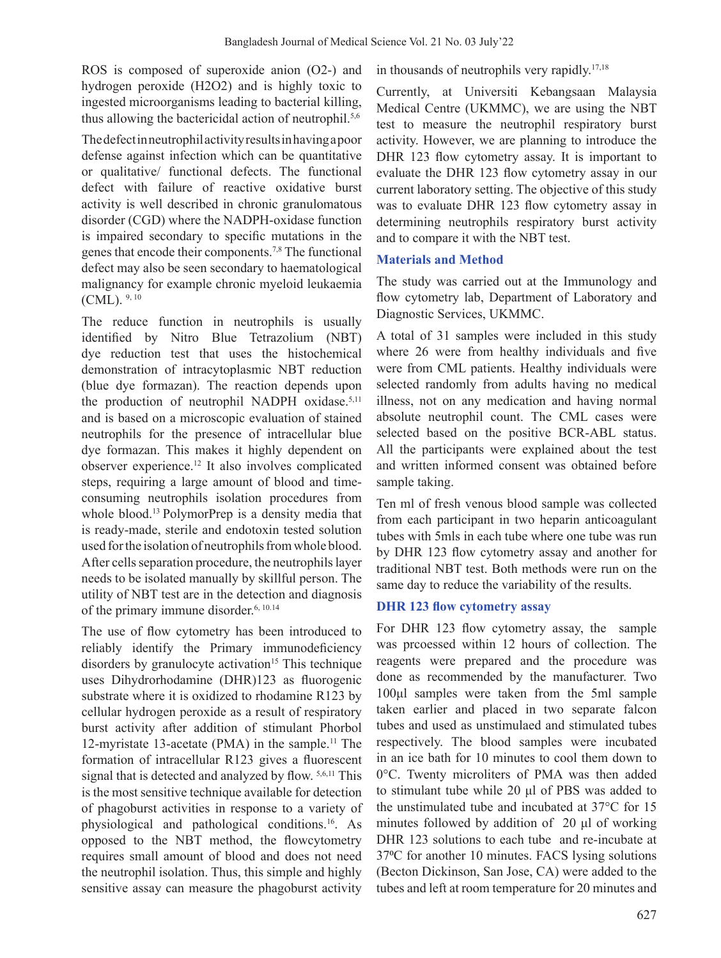ROS is composed of superoxide anion (O2-) and hydrogen peroxide (H2O2) and is highly toxic to ingested microorganisms leading to bacterial killing, thus allowing the bactericidal action of neutrophil.<sup>5,6</sup>

The defect in neutrophil activity results in having a poor defense against infection which can be quantitative or qualitative/ functional defects. The functional defect with failure of reactive oxidative burst activity is well described in chronic granulomatous disorder (CGD) where the NADPH-oxidase function is impaired secondary to specific mutations in the genes that encode their components.7,8 The functional defect may also be seen secondary to haematological malignancy for example chronic myeloid leukaemia (CML). 9, 10

The reduce function in neutrophils is usually identified by Nitro Blue Tetrazolium (NBT) dye reduction test that uses the histochemical demonstration of intracytoplasmic NBT reduction (blue dye formazan). The reaction depends upon the production of neutrophil NADPH oxidase.<sup>5,11</sup> and is based on a microscopic evaluation of stained neutrophils for the presence of intracellular blue dye formazan. This makes it highly dependent on observer experience.12 It also involves complicated steps, requiring a large amount of blood and timeconsuming neutrophils isolation procedures from whole blood.<sup>13</sup> PolymorPrep is a density media that is ready-made, sterile and endotoxin tested solution used for the isolation of neutrophils from whole blood. After cells separation procedure, the neutrophils layer needs to be isolated manually by skillful person. The utility of NBT test are in the detection and diagnosis of the primary immune disorder.<sup>6, 10.14</sup>

The use of flow cytometry has been introduced to reliably identify the Primary immunodeficiency disorders by granulocyte activation<sup>15</sup> This technique uses Dihydrorhodamine (DHR)123 as fluorogenic substrate where it is oxidized to rhodamine R123 by cellular hydrogen peroxide as a result of respiratory burst activity after addition of stimulant Phorbol 12-myristate 13-acetate (PMA) in the sample.<sup>11</sup> The formation of intracellular R123 gives a fluorescent signal that is detected and analyzed by flow. 5,6,11 This is the most sensitive technique available for detection of phagoburst activities in response to a variety of physiological and pathological conditions.<sup>16</sup>. As opposed to the NBT method, the flowcytometry requires small amount of blood and does not need the neutrophil isolation. Thus, this simple and highly sensitive assay can measure the phagoburst activity in thousands of neutrophils very rapidly.17,18

Currently, at Universiti Kebangsaan Malaysia Medical Centre (UKMMC), we are using the NBT test to measure the neutrophil respiratory burst activity. However, we are planning to introduce the DHR 123 flow cytometry assay. It is important to evaluate the DHR 123 flow cytometry assay in our current laboratory setting. The objective of this study was to evaluate DHR 123 flow cytometry assay in determining neutrophils respiratory burst activity and to compare it with the NBT test.

# **Materials and Method**

The study was carried out at the Immunology and flow cytometry lab, Department of Laboratory and Diagnostic Services, UKMMC.

A total of 31 samples were included in this study where 26 were from healthy individuals and five were from CML patients. Healthy individuals were selected randomly from adults having no medical illness, not on any medication and having normal absolute neutrophil count. The CML cases were selected based on the positive BCR-ABL status. All the participants were explained about the test and written informed consent was obtained before sample taking.

Ten ml of fresh venous blood sample was collected from each participant in two heparin anticoagulant tubes with 5mls in each tube where one tube was run by DHR 123 flow cytometry assay and another for traditional NBT test. Both methods were run on the same day to reduce the variability of the results.

# **DHR 123 flow cytometry assay**

For DHR 123 flow cytometry assay, the sample was prcoessed within 12 hours of collection. The reagents were prepared and the procedure was done as recommended by the manufacturer. Two 100μl samples were taken from the 5ml sample taken earlier and placed in two separate falcon tubes and used as unstimulaed and stimulated tubes respectively. The blood samples were incubated in an ice bath for 10 minutes to cool them down to 0°C. Twenty microliters of PMA was then added to stimulant tube while 20 μl of PBS was added to the unstimulated tube and incubated at 37°C for 15 minutes followed by addition of 20 μl of working DHR 123 solutions to each tube and re-incubate at 37<sup>o</sup>C for another 10 minutes. FACS lysing solutions (Becton Dickinson, San Jose, CA) were added to the tubes and left at room temperature for 20 minutes and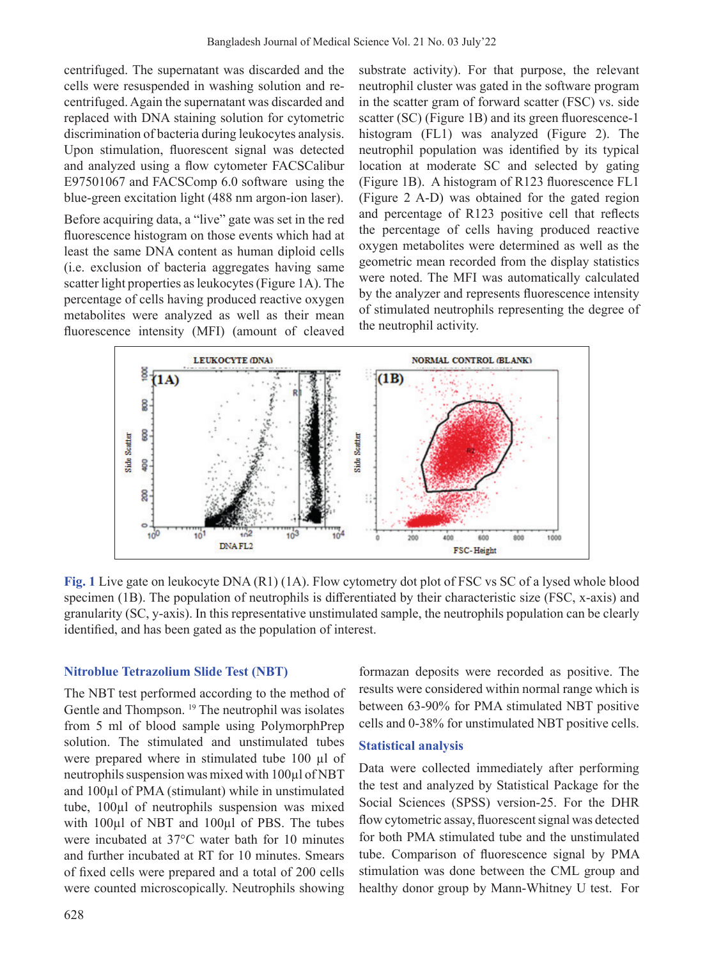centrifuged. The supernatant was discarded and the cells were resuspended in washing solution and recentrifuged. Again the supernatant was discarded and replaced with DNA staining solution for cytometric discrimination of bacteria during leukocytes analysis. Upon stimulation, fluorescent signal was detected and analyzed using a flow cytometer FACSCalibur E97501067 and FACSComp 6.0 software using the blue-green excitation light (488 nm argon-ion laser).

Before acquiring data, a "live" gate was set in the red fluorescence histogram on those events which had at least the same DNA content as human diploid cells (i.e. exclusion of bacteria aggregates having same scatter light properties as leukocytes (Figure 1A). The percentage of cells having produced reactive oxygen metabolites were analyzed as well as their mean fluorescence intensity (MFI) (amount of cleaved

substrate activity). For that purpose, the relevant neutrophil cluster was gated in the software program in the scatter gram of forward scatter (FSC) vs. side scatter (SC) (Figure 1B) and its green fluorescence-1 histogram (FL1) was analyzed (Figure 2). The neutrophil population was identified by its typical location at moderate SC and selected by gating (Figure 1B). A histogram of R123 fluorescence FL1 (Figure 2 A-D) was obtained for the gated region and percentage of R123 positive cell that reflects the percentage of cells having produced reactive oxygen metabolites were determined as well as the geometric mean recorded from the display statistics were noted. The MFI was automatically calculated by the analyzer and represents fluorescence intensity of stimulated neutrophils representing the degree of the neutrophil activity.



**Fig. 1** Live gate on leukocyte DNA (R1) (1A). Flow cytometry dot plot of FSC vs SC of a lysed whole blood specimen (1B). The population of neutrophils is differentiated by their characteristic size (FSC, x-axis) and granularity (SC, y-axis). In this representative unstimulated sample, the neutrophils population can be clearly identified, and has been gated as the population of interest.

## **Nitroblue Tetrazolium Slide Test (NBT)**

The NBT test performed according to the method of Gentle and Thompson.<sup>19</sup> The neutrophil was isolates from 5 ml of blood sample using PolymorphPrep solution. The stimulated and unstimulated tubes were prepared where in stimulated tube 100 µl of neutrophils suspension was mixed with 100µl of NBT and 100µl of PMA (stimulant) while in unstimulated tube, 100µl of neutrophils suspension was mixed with 100 $\mu$ l of NBT and 100 $\mu$ l of PBS. The tubes were incubated at 37°C water bath for 10 minutes and further incubated at RT for 10 minutes. Smears of fixed cells were prepared and a total of 200 cells were counted microscopically. Neutrophils showing

formazan deposits were recorded as positive. The results were considered within normal range which is between 63-90% for PMA stimulated NBT positive cells and 0-38% for unstimulated NBT positive cells.

### **Statistical analysis**

Data were collected immediately after performing the test and analyzed by Statistical Package for the Social Sciences (SPSS) version-25. For the DHR flow cytometric assay, fluorescent signal was detected for both PMA stimulated tube and the unstimulated tube. Comparison of fluorescence signal by PMA stimulation was done between the CML group and healthy donor group by Mann-Whitney U test. For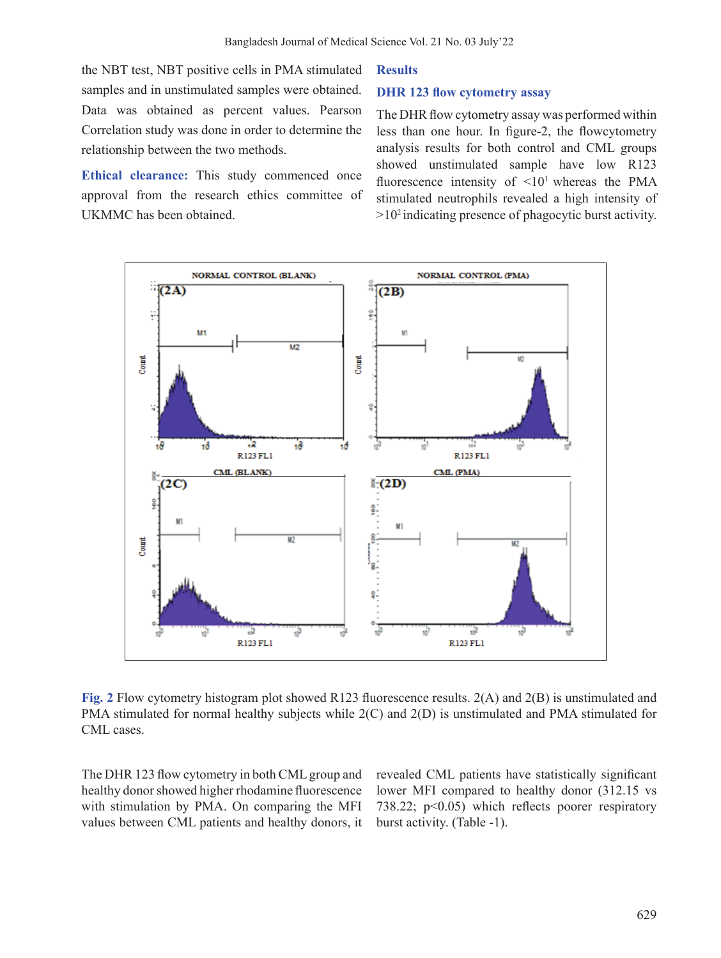the NBT test, NBT positive cells in PMA stimulated samples and in unstimulated samples were obtained. Data was obtained as percent values. Pearson Correlation study was done in order to determine the relationship between the two methods.

**Ethical clearance:** This study commenced once approval from the research ethics committee of UKMMC has been obtained.

#### **Results**

### **DHR 123 flow cytometry assay**

The DHR flow cytometry assay was performed within less than one hour. In figure-2, the flowcytometry analysis results for both control and CML groups showed unstimulated sample have low R123 fluorescence intensity of  $\leq 10^1$  whereas the PMA stimulated neutrophils revealed a high intensity of  $>10<sup>2</sup>$  indicating presence of phagocytic burst activity.



**Fig. 2** Flow cytometry histogram plot showed R123 fluorescence results. 2(A) and 2(B) is unstimulated and PMA stimulated for normal healthy subjects while 2(C) and 2(D) is unstimulated and PMA stimulated for CML cases.

The DHR 123 flow cytometry in both CMLgroup and healthy donor showed higher rhodamine fluorescence with stimulation by PMA. On comparing the MFI values between CML patients and healthy donors, it revealed CML patients have statistically significant lower MFI compared to healthy donor (312.15 vs 738.22; p<0.05) which reflects poorer respiratory burst activity. (Table -1).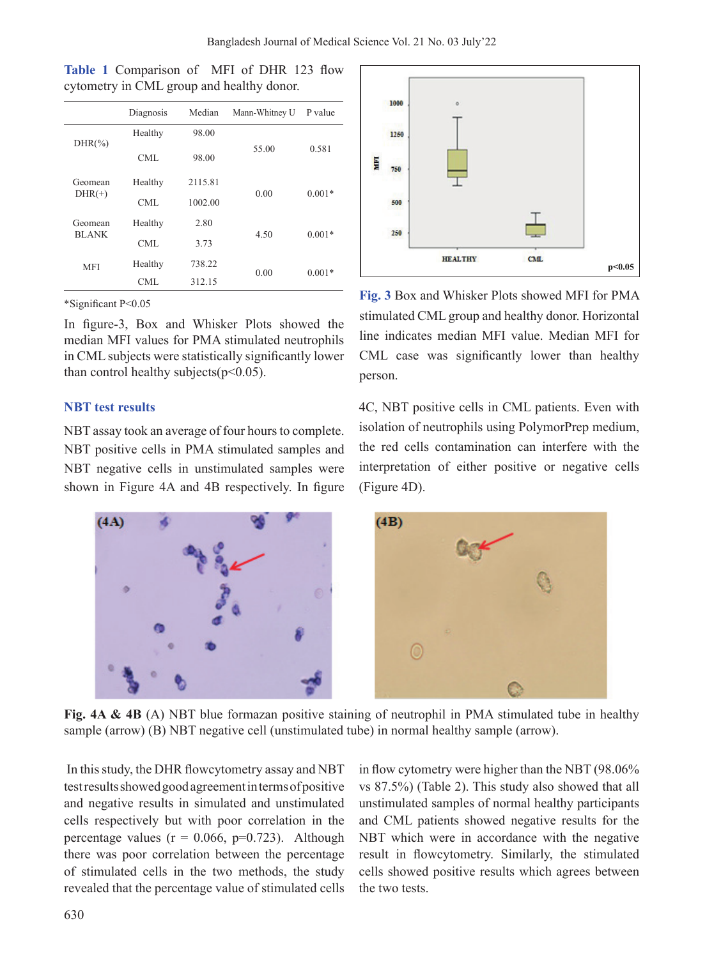|  | Table 1 Comparison of MFI of DHR 123 flow |  |  |  |
|--|-------------------------------------------|--|--|--|
|  | cytometry in CML group and healthy donor. |  |  |  |

|              | Diagnosis | Median  | Mann-Whitney U | P value  |  |
|--------------|-----------|---------|----------------|----------|--|
| $DHR(\%)$    | Healthy   | 98.00   |                | 0.581    |  |
|              | CML       | 98.00   | 55.00          |          |  |
| Geomean      | Healthy   | 2115.81 |                | $0.001*$ |  |
| $DHR(+)$     | CML       | 1002.00 | 0.00           |          |  |
| Geomean      | Healthy   | 2.80    |                | $0.001*$ |  |
| <b>BLANK</b> | CML.      | 3.73    | 4.50           |          |  |
| <b>MFI</b>   | Healthy   | 738.22  | 0.00           | $0.001*$ |  |
|              | CML       | 312.15  |                |          |  |

\*Significant P<0.05

In figure-3, Box and Whisker Plots showed the median MFI values for PMA stimulated neutrophils in CML subjects were statistically significantly lower than control healthy subjects( $p<0.05$ ).

### **NBT test results**

NBT assay took an average of four hours to complete. NBT positive cells in PMA stimulated samples and NBT negative cells in unstimulated samples were shown in Figure 4A and 4B respectively. In figure



**Fig. 3** Box and Whisker Plots showed MFI for PMA stimulated CML group and healthy donor. Horizontal line indicates median MFI value. Median MFI for CML case was significantly lower than healthy person.

4C, NBT positive cells in CML patients. Even with isolation of neutrophils using PolymorPrep medium, the red cells contamination can interfere with the interpretation of either positive or negative cells (Figure 4D).



**Fig. 4A & 4B** (A) NBT blue formazan positive staining of neutrophil in PMA stimulated tube in healthy sample (arrow) (B) NBT negative cell (unstimulated tube) in normal healthy sample (arrow).

In thisstudy, the DHR flowcytometry assay and NBT test results showed good agreement in terms of positive and negative results in simulated and unstimulated cells respectively but with poor correlation in the percentage values ( $r = 0.066$ ,  $p=0.723$ ). Although there was poor correlation between the percentage of stimulated cells in the two methods, the study revealed that the percentage value of stimulated cells

in flow cytometry were higher than the NBT (98.06% vs 87.5%) (Table 2). This study also showed that all unstimulated samples of normal healthy participants and CML patients showed negative results for the NBT which were in accordance with the negative result in flowcytometry. Similarly, the stimulated cells showed positive results which agrees between the two tests.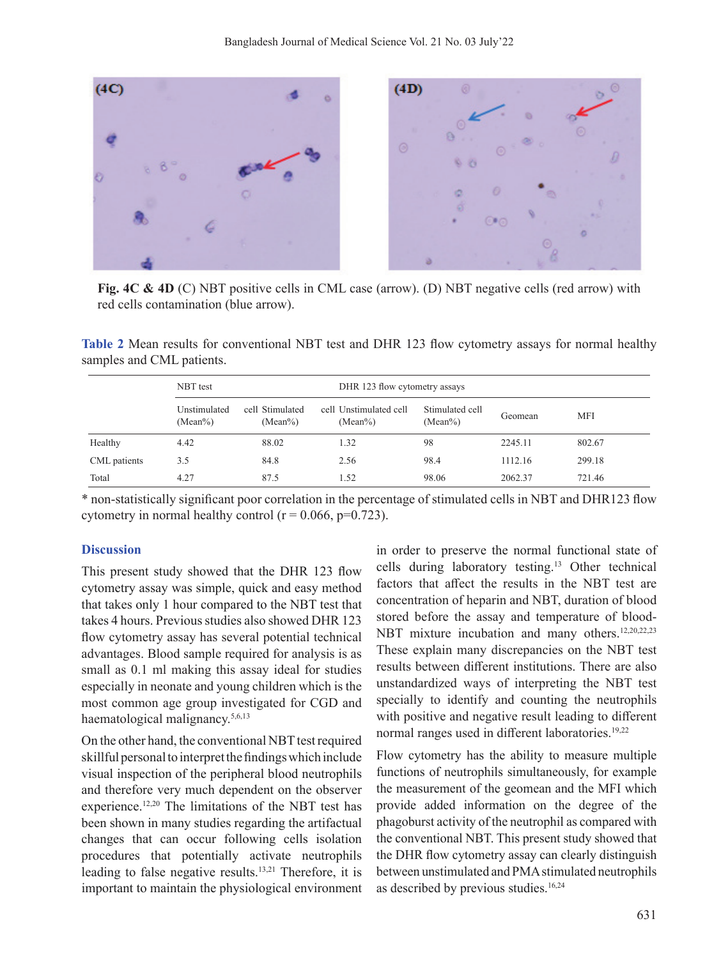

**Fig. 4C & 4D** (C) NBT positive cells in CML case (arrow). (D) NBT negative cells (red arrow) with red cells contamination (blue arrow).

**Table 2** Mean results for conventional NBT test and DHR 123 flow cytometry assays for normal healthy samples and CML patients.

|              | NBT test                   |                               |  | DHR 123 flow cytometry assays        |                               |         |            |  |
|--------------|----------------------------|-------------------------------|--|--------------------------------------|-------------------------------|---------|------------|--|
|              | Unstimulated<br>$(Mean\%)$ | cell Stimulated<br>$(Mean\%)$ |  | cell Unstimulated cell<br>$(Mean\%)$ | Stimulated cell<br>$(Mean\%)$ | Geomean | <b>MFI</b> |  |
| Healthy      | 4.42                       | 88.02                         |  | 1.32                                 | 98                            | 2245.11 | 802.67     |  |
| CML patients | 3.5                        | 84.8                          |  | 2.56                                 | 98.4                          | 1112.16 | 299.18     |  |
| Total        | 4.27                       | 87.5                          |  | 1.52                                 | 98.06                         | 2062.37 | 721.46     |  |

\* non-statistically significant poor correlation in the percentage of stimulated cells in NBT and DHR123 flow cytometry in normal healthy control ( $r = 0.066$ ,  $p=0.723$ ).

### **Discussion**

This present study showed that the DHR 123 flow cytometry assay was simple, quick and easy method that takes only 1 hour compared to the NBT test that takes 4 hours. Previous studies also showed DHR 123 flow cytometry assay has several potential technical advantages. Blood sample required for analysis is as small as 0.1 ml making this assay ideal for studies especially in neonate and young children which is the most common age group investigated for CGD and haematological malignancy.5,6,13

On the other hand, the conventional NBT test required skillful personal to interpret the findings which include visual inspection of the peripheral blood neutrophils and therefore very much dependent on the observer experience.12,20 The limitations of the NBT test has been shown in many studies regarding the artifactual changes that can occur following cells isolation procedures that potentially activate neutrophils leading to false negative results.<sup>13,21</sup> Therefore, it is important to maintain the physiological environment in order to preserve the normal functional state of cells during laboratory testing.<sup>13</sup> Other technical factors that affect the results in the NBT test are concentration of heparin and NBT, duration of blood stored before the assay and temperature of blood-NBT mixture incubation and many others.<sup>12,20,22,23</sup> These explain many discrepancies on the NBT test results between different institutions. There are also unstandardized ways of interpreting the NBT test specially to identify and counting the neutrophils with positive and negative result leading to different normal ranges used in different laboratories.<sup>19,22</sup>

Flow cytometry has the ability to measure multiple functions of neutrophils simultaneously, for example the measurement of the geomean and the MFI which provide added information on the degree of the phagoburst activity of the neutrophil as compared with the conventional NBT. This present study showed that the DHR flow cytometry assay can clearly distinguish between unstimulated and PMA stimulated neutrophils as described by previous studies.<sup>16,24</sup>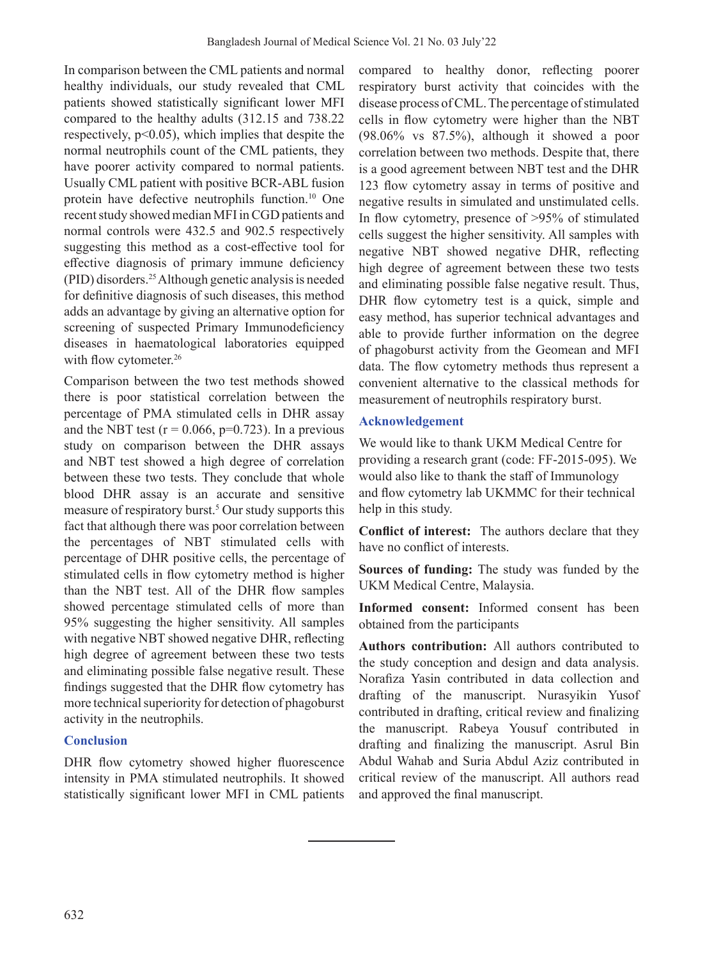In comparison between the CML patients and normal healthy individuals, our study revealed that CML patients showed statistically significant lower MFI compared to the healthy adults (312.15 and 738.22 respectively,  $p<0.05$ ), which implies that despite the normal neutrophils count of the CML patients, they have poorer activity compared to normal patients. Usually CML patient with positive BCR-ABL fusion protein have defective neutrophils function.<sup>10</sup> One recent study showed median MFI in CGD patients and normal controls were 432.5 and 902.5 respectively suggesting this method as a cost-effective tool for effective diagnosis of primary immune deficiency (PID) disorders.25 Although genetic analysis is needed for definitive diagnosis of such diseases, this method adds an advantage by giving an alternative option for screening of suspected Primary Immunodeficiency diseases in haematological laboratories equipped with flow cytometer.<sup>26</sup>

Comparison between the two test methods showed there is poor statistical correlation between the percentage of PMA stimulated cells in DHR assay and the NBT test ( $r = 0.066$ ,  $p=0.723$ ). In a previous study on comparison between the DHR assays and NBT test showed a high degree of correlation between these two tests. They conclude that whole blood DHR assay is an accurate and sensitive measure of respiratory burst.<sup>5</sup> Our study supports this fact that although there was poor correlation between the percentages of NBT stimulated cells with percentage of DHR positive cells, the percentage of stimulated cells in flow cytometry method is higher than the NBT test. All of the DHR flow samples showed percentage stimulated cells of more than 95% suggesting the higher sensitivity. All samples with negative NBT showed negative DHR, reflecting high degree of agreement between these two tests and eliminating possible false negative result. These findings suggested that the DHR flow cytometry has more technical superiority for detection of phagoburst activity in the neutrophils.

# **Conclusion**

DHR flow cytometry showed higher fluorescence intensity in PMA stimulated neutrophils. It showed statistically significant lower MFI in CML patients compared to healthy donor, reflecting poorer respiratory burst activity that coincides with the disease process of CML. The percentage of stimulated cells in flow cytometry were higher than the NBT (98.06% vs 87.5%), although it showed a poor correlation between two methods. Despite that, there is a good agreement between NBT test and the DHR 123 flow cytometry assay in terms of positive and negative results in simulated and unstimulated cells. In flow cytometry, presence of >95% of stimulated cells suggest the higher sensitivity. All samples with negative NBT showed negative DHR, reflecting high degree of agreement between these two tests and eliminating possible false negative result. Thus, DHR flow cytometry test is a quick, simple and easy method, has superior technical advantages and able to provide further information on the degree of phagoburst activity from the Geomean and MFI data. The flow cytometry methods thus represent a convenient alternative to the classical methods for measurement of neutrophils respiratory burst.

# **Acknowledgement**

We would like to thank UKM Medical Centre for providing a research grant (code: FF-2015-095). We would also like to thank the staff of Immunology and flow cytometry lab UKMMC for their technical help in this study.

**Conflict of interest:** The authors declare that they have no conflict of interests.

**Sources of funding:** The study was funded by the UKM Medical Centre, Malaysia.

**Informed consent:** Informed consent has been obtained from the participants

**Authors contribution:** All authors contributed to the study conception and design and data analysis. Norafiza Yasin contributed in data collection and drafting of the manuscript. Nurasyikin Yusof contributed in drafting, critical review and finalizing the manuscript. Rabeya Yousuf contributed in drafting and finalizing the manuscript. Asrul Bin Abdul Wahab and Suria Abdul Aziz contributed in critical review of the manuscript. All authors read and approved the final manuscript.